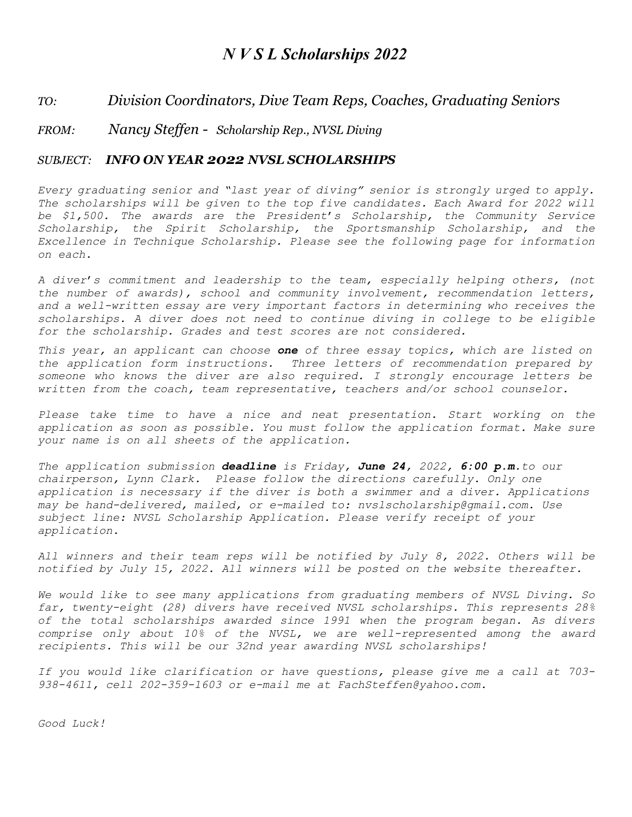## *N V S L Scholarships 2022*

### *TO: Division Coordinators, Dive Team Reps, Coaches, Graduating Seniors*

### *FROM: Nancy Steffen - Scholarship Rep., NVSL Diving*

### *SUBJECT: INFO ON YEAR 2022 NVSL SCHOLARSHIPS*

*Every graduating senior and "last year of diving" senior is strongly urged to apply. The scholarships will be given to the top five candidates. Each Award for 2022 will be \$1,500. The awards are the President*'*s Scholarship, the Community Service Scholarship, the Spirit Scholarship, the Sportsmanship Scholarship, and the Excellence in Technique Scholarship. Please see the following page for information on each.*

*A diver*'*s commitment and leadership to the team, especially helping others, (not the number of awards), school and community involvement, recommendation letters,*  and a well-written essay are very important factors in determining who receives the *scholarships. A diver does not need to continue diving in college to be eligible for the scholarship. Grades and test scores are not considered.*

*This year, an applicant can choose one of three essay topics, which are listed on the application form instructions. Three letters of recommendation prepared by someone who knows the diver are also required. I strongly encourage letters be written from the coach, team representative, teachers and/or school counselor.* 

*Please take time to have a nice and neat presentation. Start working on the application as soon as possible. You must follow the application format. Make sure your name is on all sheets of the application.* 

*The application submission deadline is Friday, June 24, 2022, 6:00 p.m.to our chairperson, Lynn Clark. Please follow the directions carefully. Only one application is necessary if the diver is both a swimmer and a diver. Applications may be hand-delivered, mailed, or e-mailed to: nvslscholarship@gmail.com. Use subject line: NVSL Scholarship Application. Please verify receipt of your application.*

*All winners and their team reps will be notified by July 8, 2022. Others will be notified by July 15, 2022. All winners will be posted on the website thereafter.*

*We would like to see many applications from graduating members of NVSL Diving. So far, twenty-eight (28) divers have received NVSL scholarships. This represents 28% of the total scholarships awarded since 1991 when the program began. As divers comprise only about 10% of the NVSL, we are well-represented among the award recipients. This will be our 32nd year awarding NVSL scholarships!*

*If you would like clarification or have questions, please give me a call at 703- 938-4611, cell 202-359-1603 or e-mail me at FachSteffen@yahoo.com.*

*Good Luck!*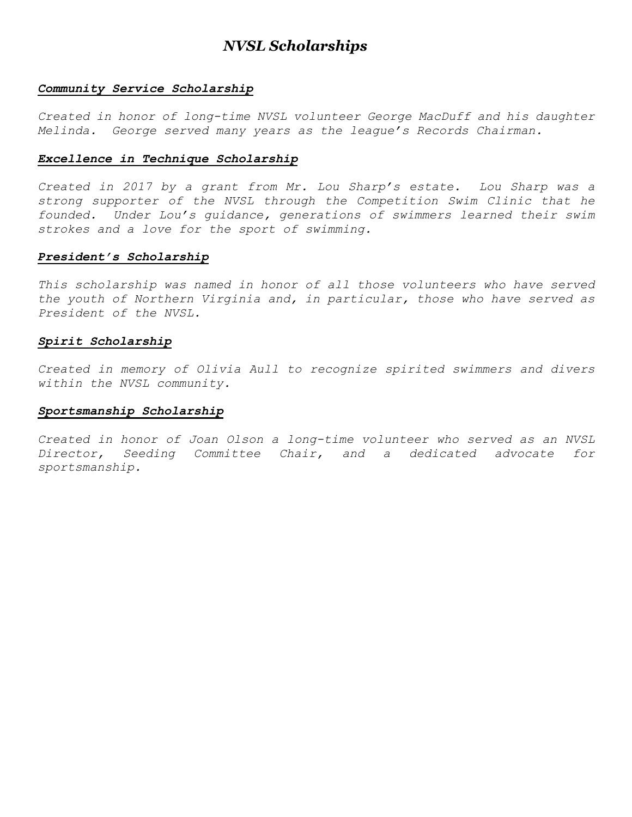## *NVSL Scholarships*

### *Community Service Scholarship*

*Created in honor of long-time NVSL volunteer George MacDuff and his daughter Melinda. George served many years as the league's Records Chairman.*

#### *Excellence in Technique Scholarship*

*Created in 2017 by a grant from Mr. Lou Sharp's estate. Lou Sharp was a strong supporter of the NVSL through the Competition Swim Clinic that he founded. Under Lou's guidance, generations of swimmers learned their swim strokes and a love for the sport of swimming.*

### *President's Scholarship*

*This scholarship was named in honor of all those volunteers who have served the youth of Northern Virginia and, in particular, those who have served as President of the NVSL.*

### *Spirit Scholarship*

*Created in memory of Olivia Aull to recognize spirited swimmers and divers within the NVSL community.*

#### *Sportsmanship Scholarship*

*Created in honor of Joan Olson a long-time volunteer who served as an NVSL Director, Seeding Committee Chair, and a dedicated advocate for sportsmanship.*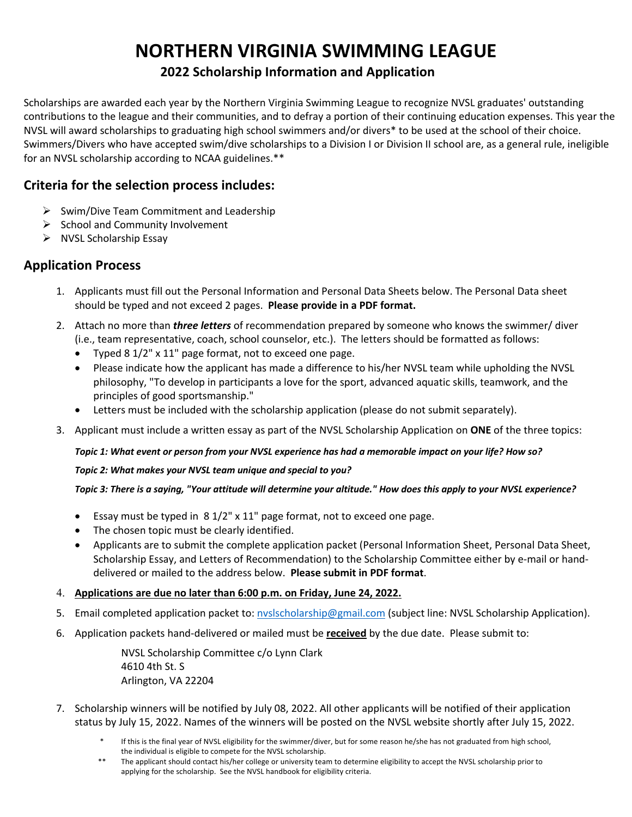# **NORTHERN VIRGINIA SWIMMING LEAGUE**

## **2022 Scholarship Information and Application**

Scholarships are awarded each year by the Northern Virginia Swimming League to recognize NVSL graduates' outstanding contributions to the league and their communities, and to defray a portion of their continuing education expenses. This year the NVSL will award scholarships to graduating high school swimmers and/or divers\* to be used at the school of their choice. Swimmers/Divers who have accepted swim/dive scholarships to a Division I or Division II school are, as a general rule, ineligible for an NVSL scholarship according to NCAA guidelines.\*\*

### **Criteria for the selection process includes:**

- $\triangleright$  Swim/Dive Team Commitment and Leadership
- $\triangleright$  School and Community Involvement
- $\triangleright$  NVSL Scholarship Essay

## **Application Process**

- 1. Applicants must fill out the Personal Information and Personal Data Sheets below. The Personal Data sheet should be typed and not exceed 2 pages. **Please provide in a PDF format.**
- 2. Attach no more than *three letters* of recommendation prepared by someone who knows the swimmer/ diver (i.e., team representative, coach, school counselor, etc.). The letters should be formatted as follows:
	- Typed 8 1/2" x 11" page format, not to exceed one page.
	- Please indicate how the applicant has made a difference to his/her NVSL team while upholding the NVSL philosophy, "To develop in participants a love for the sport, advanced aquatic skills, teamwork, and the principles of good sportsmanship."
	- Letters must be included with the scholarship application (please do not submit separately).
- 3. Applicant must include a written essay as part of the NVSL Scholarship Application on **ONE** of the three topics:

### *Topic 1: What event or person from your NVSL experience has had a memorable impact on your life? How so?*

### *Topic 2: What makes your NVSL team unique and special to you?*

### *Topic 3: There is a saying, "Your attitude will determine your altitude." How does this apply to your NVSL experience?*

- Essay must be typed in 8 1/2" x 11" page format, not to exceed one page.
- The chosen topic must be clearly identified.
- Applicants are to submit the complete application packet (Personal Information Sheet, Personal Data Sheet, Scholarship Essay, and Letters of Recommendation) to the Scholarship Committee either by e-mail or handdelivered or mailed to the address below. **Please submit in PDF format**.
- 4. **Applications are due no later than 6:00 p.m. on Friday, June 24, 2022.**
- 5. Email completed application packet to: nvslscholarship@gmail.com (subject line: NVSL Scholarship Application).
- 6. Application packets hand-delivered or mailed must be **received** by the due date. Please submit to:

NVSL Scholarship Committee c/o Lynn Clark 4610 4th St. S Arlington, VA 22204

- 7. Scholarship winners will be notified by July 08, 2022. All other applicants will be notified of their application status by July 15, 2022. Names of the winners will be posted on the NVSL website shortly after July 15, 2022.
	- If this is the final year of NVSL eligibility for the swimmer/diver, but for some reason he/she has not graduated from high school, the individual is eligible to compete for the NVSL scholarship.
	- The applicant should contact his/her college or university team to determine eligibility to accept the NVSL scholarship prior to applying for the scholarship. See the NVSL handbook for eligibility criteria.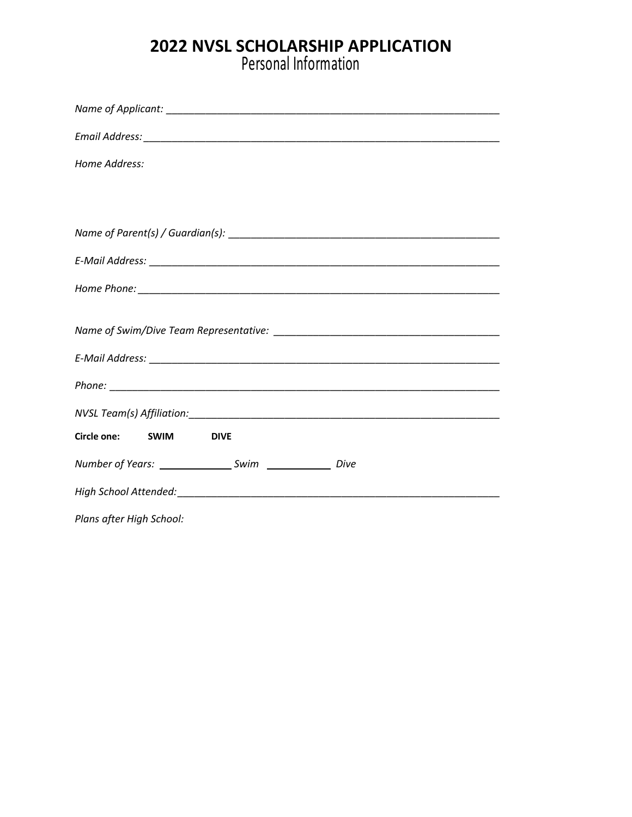## **2022 NVSL SCHOLARSHIP APPLICATION**

Personal Information

| Home Address:                   |
|---------------------------------|
|                                 |
|                                 |
|                                 |
|                                 |
|                                 |
|                                 |
|                                 |
|                                 |
|                                 |
|                                 |
| Circle one: SWIM<br><b>DIVE</b> |
|                                 |
|                                 |
| Plans after High School:        |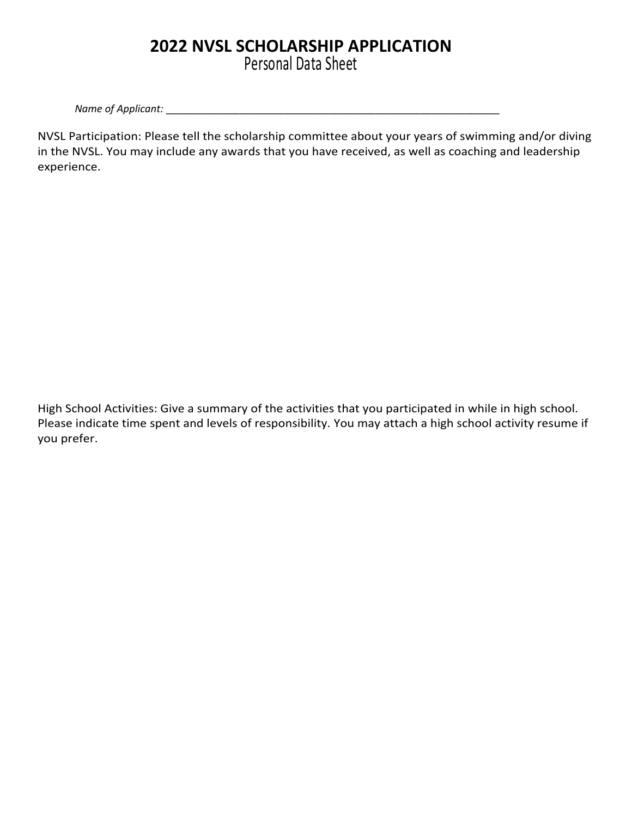# **2022 NVSL SCHOLARSHIP APPLICATION**

Personal Data Sheet

*Name of Applicant: \_\_\_\_\_\_\_\_\_\_\_\_\_\_\_\_\_\_\_\_\_\_\_\_\_\_\_\_\_\_\_\_\_\_\_\_\_\_\_\_\_\_\_\_\_\_\_\_\_\_\_\_\_\_\_\_\_\_\_*

NVSL Participation: Please tell the scholarship committee about your years of swimming and/or diving in the NVSL. You may include any awards that you have received, as well as coaching and leadership experience.

High School Activities: Give a summary of the activities that you participated in while in high school. Please indicate time spent and levels of responsibility. You may attach a high school activity resume if you prefer.